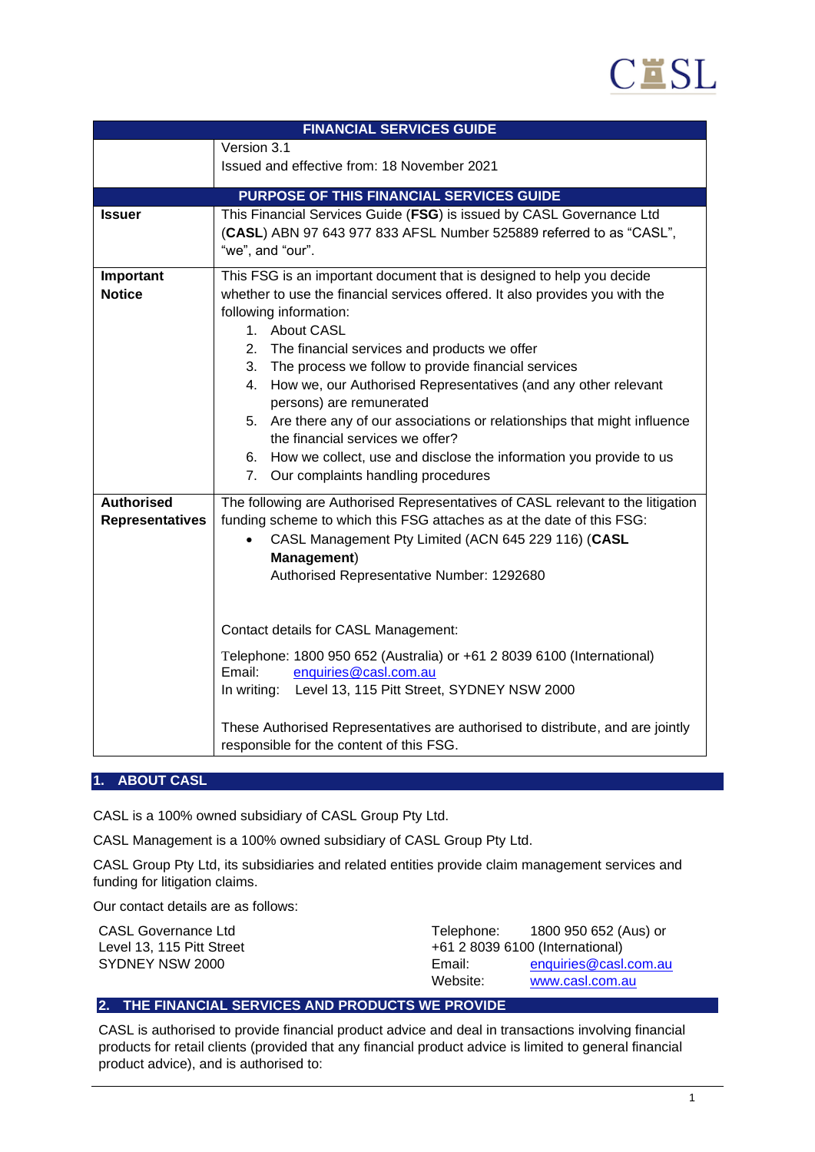

| <b>FINANCIAL SERVICES GUIDE</b>          |                                                                                                              |  |  |
|------------------------------------------|--------------------------------------------------------------------------------------------------------------|--|--|
|                                          | Version 3.1                                                                                                  |  |  |
|                                          | Issued and effective from: 18 November 2021                                                                  |  |  |
| PURPOSE OF THIS FINANCIAL SERVICES GUIDE |                                                                                                              |  |  |
| <b>Issuer</b>                            | This Financial Services Guide (FSG) is issued by CASL Governance Ltd                                         |  |  |
|                                          | (CASL) ABN 97 643 977 833 AFSL Number 525889 referred to as "CASL",                                          |  |  |
|                                          | "we", and "our".                                                                                             |  |  |
| Important                                | This FSG is an important document that is designed to help you decide                                        |  |  |
| <b>Notice</b>                            | whether to use the financial services offered. It also provides you with the                                 |  |  |
|                                          | following information:                                                                                       |  |  |
|                                          | 1. About CASL                                                                                                |  |  |
|                                          | 2.<br>The financial services and products we offer<br>3. The process we follow to provide financial services |  |  |
|                                          | How we, our Authorised Representatives (and any other relevant<br>4.                                         |  |  |
|                                          | persons) are remunerated                                                                                     |  |  |
|                                          | 5. Are there any of our associations or relationships that might influence                                   |  |  |
|                                          | the financial services we offer?                                                                             |  |  |
|                                          | 6. How we collect, use and disclose the information you provide to us                                        |  |  |
|                                          | Our complaints handling procedures<br>7.                                                                     |  |  |
| <b>Authorised</b>                        | The following are Authorised Representatives of CASL relevant to the litigation                              |  |  |
| <b>Representatives</b>                   | funding scheme to which this FSG attaches as at the date of this FSG:                                        |  |  |
|                                          | CASL Management Pty Limited (ACN 645 229 116) (CASL                                                          |  |  |
|                                          | Management)                                                                                                  |  |  |
|                                          | Authorised Representative Number: 1292680                                                                    |  |  |
|                                          |                                                                                                              |  |  |
|                                          | Contact details for CASL Management:                                                                         |  |  |
|                                          | Telephone: 1800 950 652 (Australia) or +61 2 8039 6100 (International)                                       |  |  |
|                                          | Email:<br>enquiries@casl.com.au                                                                              |  |  |
|                                          | In writing: Level 13, 115 Pitt Street, SYDNEY NSW 2000                                                       |  |  |
|                                          | These Authorised Representatives are authorised to distribute, and are jointly                               |  |  |
|                                          | responsible for the content of this FSG.                                                                     |  |  |

### **1. ABOUT CASL**

CASL is a 100% owned subsidiary of CASL Group Pty Ltd.

CASL Management is a 100% owned subsidiary of CASL Group Pty Ltd.

CASL Group Pty Ltd, its subsidiaries and related entities provide claim management services and funding for litigation claims.

Our contact details are as follows:

| CASL Governance Ltd       | Telephone: | 1800 950 652 (Aus) or           |  |
|---------------------------|------------|---------------------------------|--|
| Level 13, 115 Pitt Street |            | +61 2 8039 6100 (International) |  |
| SYDNEY NSW 2000           | Email:     | enquiries@casl.com.au           |  |
|                           | Website:   | www.casl.com.au                 |  |

# **2. THE FINANCIAL SERVICES AND PRODUCTS WE PROVIDE**

CASL is authorised to provide financial product advice and deal in transactions involving financial products for retail clients (provided that any financial product advice is limited to general financial product advice), and is authorised to: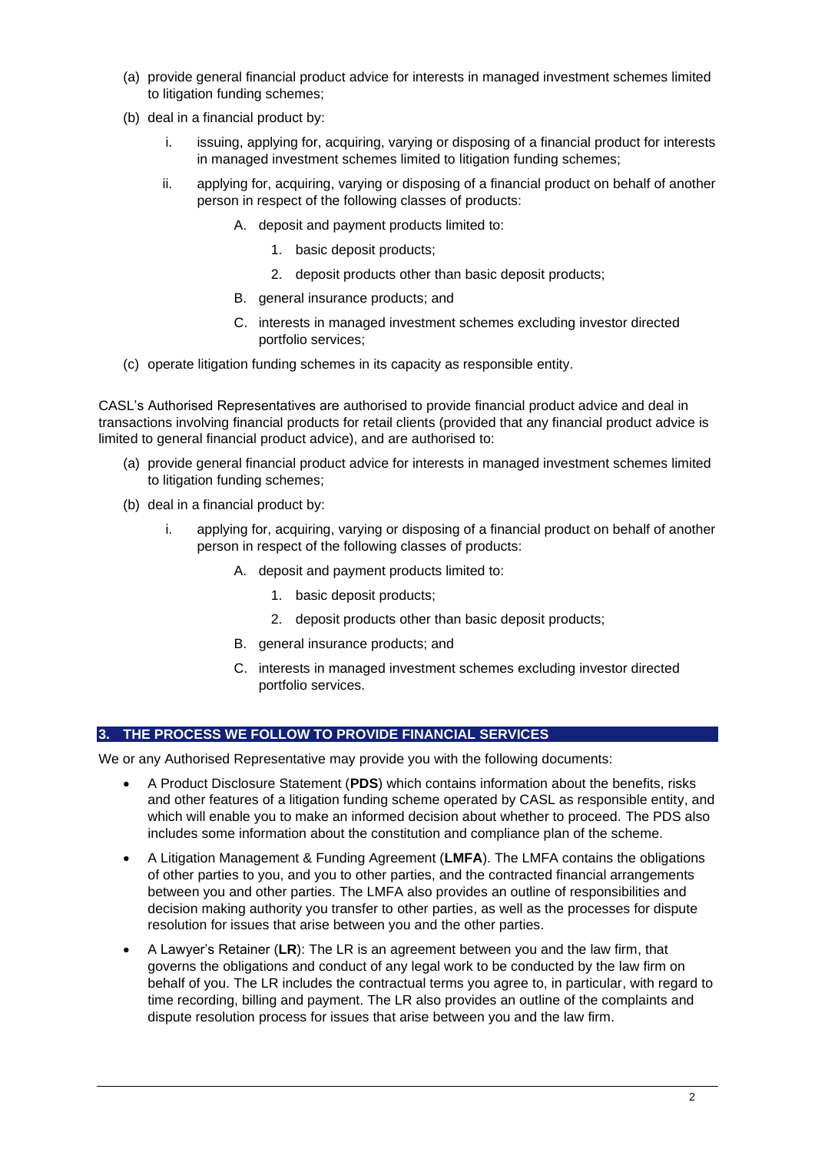- (a) provide general financial product advice for interests in managed investment schemes limited to litigation funding schemes;
- (b) deal in a financial product by:
	- i. issuing, applying for, acquiring, varying or disposing of a financial product for interests in managed investment schemes limited to litigation funding schemes;
	- ii. applying for, acquiring, varying or disposing of a financial product on behalf of another person in respect of the following classes of products:
		- A. deposit and payment products limited to:
			- 1. basic deposit products;
			- 2. deposit products other than basic deposit products;
		- B. general insurance products; and
		- C. interests in managed investment schemes excluding investor directed portfolio services;
- (c) operate litigation funding schemes in its capacity as responsible entity.

CASL's Authorised Representatives are authorised to provide financial product advice and deal in transactions involving financial products for retail clients (provided that any financial product advice is limited to general financial product advice), and are authorised to:

- (a) provide general financial product advice for interests in managed investment schemes limited to litigation funding schemes;
- (b) deal in a financial product by:
	- i. applying for, acquiring, varying or disposing of a financial product on behalf of another person in respect of the following classes of products:
		- A. deposit and payment products limited to:
			- 1. basic deposit products;
			- 2. deposit products other than basic deposit products;
		- B. general insurance products; and
		- C. interests in managed investment schemes excluding investor directed portfolio services.

## **3. THE PROCESS WE FOLLOW TO PROVIDE FINANCIAL SERVICES**

We or any Authorised Representative may provide you with the following documents:

- A Product Disclosure Statement (**PDS**) which contains information about the benefits, risks and other features of a litigation funding scheme operated by CASL as responsible entity, and which will enable you to make an informed decision about whether to proceed. The PDS also includes some information about the constitution and compliance plan of the scheme.
- A Litigation Management & Funding Agreement (**LMFA**). The LMFA contains the obligations of other parties to you, and you to other parties, and the contracted financial arrangements between you and other parties. The LMFA also provides an outline of responsibilities and decision making authority you transfer to other parties, as well as the processes for dispute resolution for issues that arise between you and the other parties.
- A Lawyer's Retainer (**LR**): The LR is an agreement between you and the law firm, that governs the obligations and conduct of any legal work to be conducted by the law firm on behalf of you. The LR includes the contractual terms you agree to, in particular, with regard to time recording, billing and payment. The LR also provides an outline of the complaints and dispute resolution process for issues that arise between you and the law firm.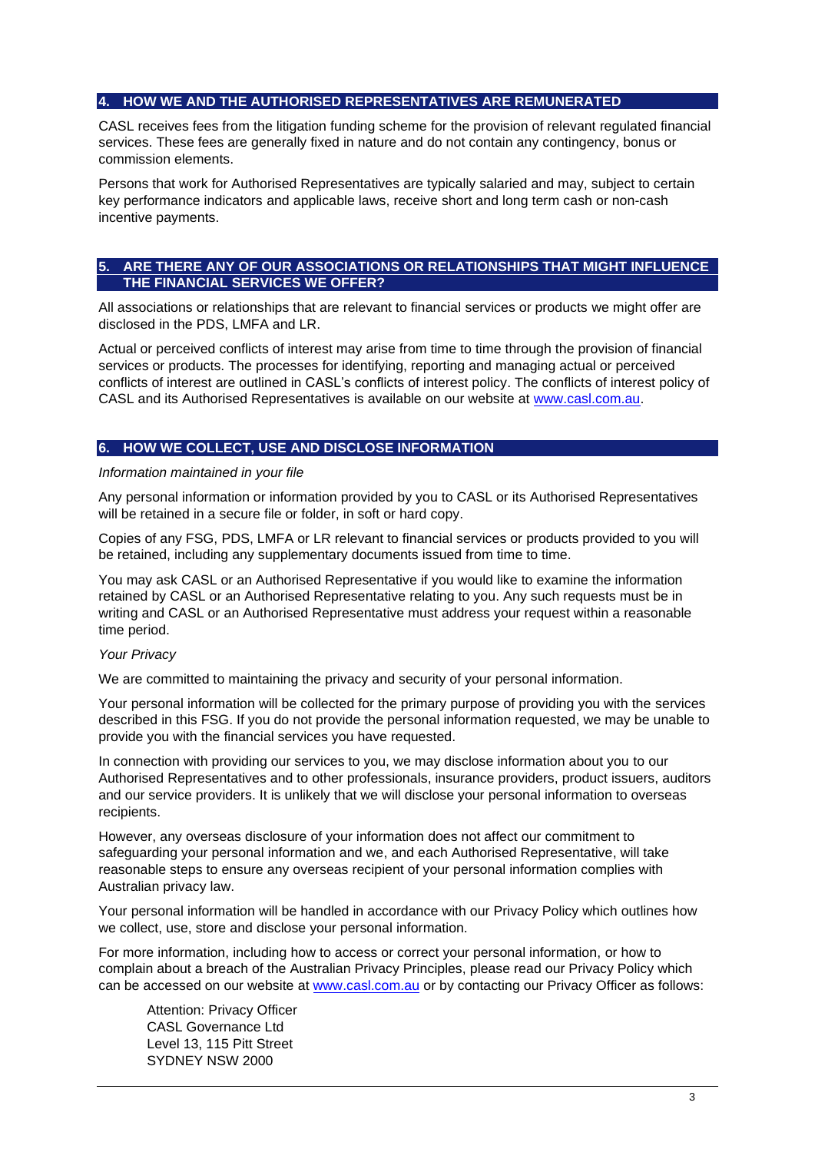## **4. HOW WE AND THE AUTHORISED REPRESENTATIVES ARE REMUNERATED**

CASL receives fees from the litigation funding scheme for the provision of relevant regulated financial services. These fees are generally fixed in nature and do not contain any contingency, bonus or commission elements.

Persons that work for Authorised Representatives are typically salaried and may, subject to certain key performance indicators and applicable laws, receive short and long term cash or non-cash incentive payments.

## **5. ARE THERE ANY OF OUR ASSOCIATIONS OR RELATIONSHIPS THAT MIGHT INFLUENCE THE FINANCIAL SERVICES WE OFFER?**

All associations or relationships that are relevant to financial services or products we might offer are disclosed in the PDS, LMFA and LR.

Actual or perceived conflicts of interest may arise from time to time through the provision of financial services or products. The processes for identifying, reporting and managing actual or perceived conflicts of interest are outlined in CASL's conflicts of interest policy. The conflicts of interest policy of CASL and its Authorised Representatives is available on our website at [www.casl.com.au.](http://www.casl.com.au/)

### **6. HOW WE COLLECT, USE AND DISCLOSE INFORMATION**

#### *Information maintained in your file*

Any personal information or information provided by you to CASL or its Authorised Representatives will be retained in a secure file or folder, in soft or hard copy.

Copies of any FSG, PDS, LMFA or LR relevant to financial services or products provided to you will be retained, including any supplementary documents issued from time to time.

You may ask CASL or an Authorised Representative if you would like to examine the information retained by CASL or an Authorised Representative relating to you. Any such requests must be in writing and CASL or an Authorised Representative must address your request within a reasonable time period.

## *Your Privacy*

We are committed to maintaining the privacy and security of your personal information.

Your personal information will be collected for the primary purpose of providing you with the services described in this FSG. If you do not provide the personal information requested, we may be unable to provide you with the financial services you have requested.

In connection with providing our services to you, we may disclose information about you to our Authorised Representatives and to other professionals, insurance providers, product issuers, auditors and our service providers. It is unlikely that we will disclose your personal information to overseas recipients.

However, any overseas disclosure of your information does not affect our commitment to safeguarding your personal information and we, and each Authorised Representative, will take reasonable steps to ensure any overseas recipient of your personal information complies with Australian privacy law.

Your personal information will be handled in accordance with our Privacy Policy which outlines how we collect, use, store and disclose your personal information.

For more information, including how to access or correct your personal information, or how to complain about a breach of the Australian Privacy Principles, please read our Privacy Policy which can be accessed on our website at [www.casl.com.au](http://www.casl.com.au/) or by contacting our Privacy Officer as follows:

Attention: Privacy Officer CASL Governance Ltd Level 13, 115 Pitt Street SYDNEY NSW 2000